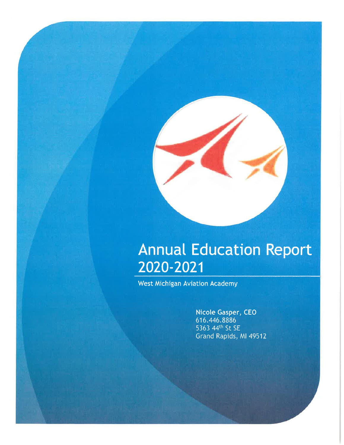

West Michigan Aviation Academy

Nicole Gasper, CEO 616.446.8886 5363 44th St SE Grand Rapids, MI 49512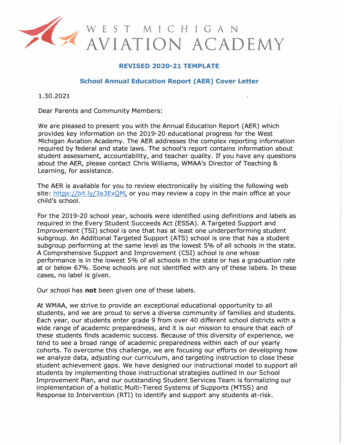

#### **REVISED 2020-21 TEMPLATE**

#### **School Annual Education Report (AER) Cover Letter**

1.30.2021

Dear Parents and Community Members:

We are pleased to present you with the Annual Education Report (AER) which provides key information on the 2019-20 educational progress for the West Michigan Aviation Academy. The AER addresses the complex reporting information required by federal and state laws. The school's report contains information about student assessment, accountability, and teacher quality. If you have any questions about the AER, please contact Chris Williams, WMAA's Director of Teaching & Learning, for assistance.

The AER is available for you to review electronically by visiting the following web site: https://bit.ly/3a3ExQM, or you may review a copy in the main office at your child's school.

For the 2019-20 school year, schools were identified using definitions and labels as required in the Every Student Succeeds Act (ESSA). A Targeted Support and Improvement (TSI) school is one that has at least one underperforming student subgroup. An Additional Targeted Support (ATS) school is one that has a student subgroup performing at the same level as the lowest 5% of all schools in the state. A Comprehensive Support and Improvement (CSI) school is one whose performance is in the lowest 5% of all schools in the state or has a graduation rate at or below 67%. Some schools are not identified with any of these labels. In these cases, no label is given.

Our school has **not** been given one of these labels.

At WMAA, we strive to provide an exceptional educational opportunity to all students, and we are proud to serve a diverse community of families and students. Each year, our students enter grade 9 from over 40 different school districts with a wide range of academic preparedness, and it is our mission to ensure that each of these students finds academic success. Because of this diversity of experience, we tend to see a broad range of academic preparedness within each of our yearly cohorts. To overcome this challenge, we are focusing our efforts on developing how we analyze data, adjusting our curriculum, and targeting instruction to close these student achievement gaps. We have designed our instructional model to support all students by implementing those instructional strategies outlined in our School Improvement Plan, and our outstanding Student Services Team is formalizing our implementation of a holistic Multi-Tiered Systems of Supports (MTSS) and Response to Intervention (RTI) to identify and support any students at-risk.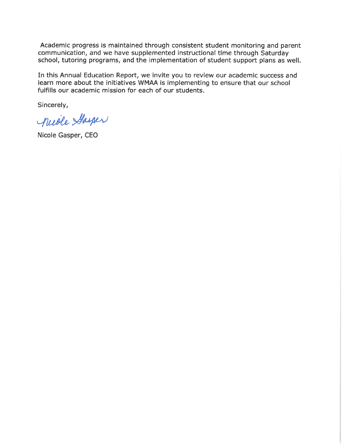Academic progress is maintained through consistent student monitoring and parent communication, and we have supplemented instructional time through Saturday school, tutoring programs, and the implementation of student support plans as well.

In this Annual Education Report, we invite you to review our academic success and learn more about the initiatives WMAA is implementing to ensure that our school fulfills our academic mission for each of our students.

Sincerely,

nuole Stasper

Nicole Gasper, CEO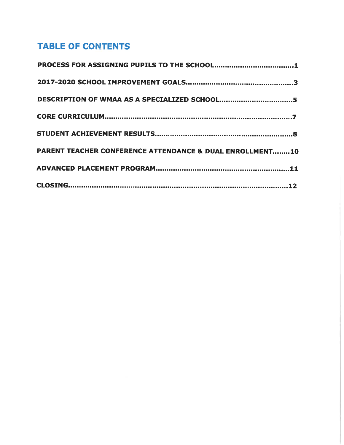# TABLE OF CONTENTS

| <b>PARENT TEACHER CONFERENCE ATTENDANCE &amp; DUAL ENROLLMENT10</b> |  |
|---------------------------------------------------------------------|--|
|                                                                     |  |
|                                                                     |  |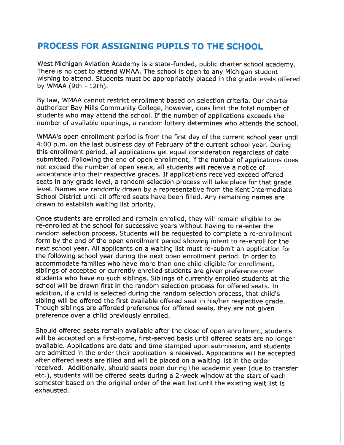## PROCESS FOR ASSIGNING PUPILS TO THE SCHOOL

West Michigan Aviation Academy is a state-funded, public charter school academy. There is no cost to attend WMAA. The school is open to any Michigan student wishing to attend. Students must be appropriately placed in the grade levels offered by WMAA (9th - 12th).

By law, WMAA cannot restrict enrollment based on selection criteria. Our charter authorizer Bay Mills Community College, however, does limit the total number of students who may attend the school. If the number of applications exceeds the number of available openings, a random lottery determines who attends the school.

WMAA's open enrollment period is from the first day of the current school year until 4:00 p.m. on the last business day of February of the current school year. During this enrollment period, all applications get equal consideration regardless of date submitted. Following the end of open enrollment, if the number of applications does not exceed the number of open seats, all students will receive a notice of acceptance into their respective grades. If applications received exceed offered seats in any grade level, a random selection process will take place for that grade level. Names are randomly drawn by a representative from the Kent Intermediate School District until all offered seats have been filled. Any remaining names are drawn to establish waiting list priority.

Once students are enrolled and remain enrolled, they will remain eligible to be re-enrolled at the school for successive years without having to re-enter the random selection process. Students will be requested to complete a re-enrollment form by the end of the open enrollment period showing intent to re-enroll for the next school year. All applicants on a waiting list must re-submit an application for the following school year during the next open enrollment period. In order to accommodate families who have more than one child eligible for enrollment, siblings of accepted or currently enrolled students are given preference over students who have no such siblings. Siblings of currently enrolled students at the school will be drawn first in the random selection process for offered seats. In addition, if a child is selected during the random selection process, that child's sibling will be offered the first available offered seat in his/her respective grade. Though siblings are afforded preference for offered seats, they are not given preference over a child previously enrolled.

Should offered seats remain available after the close of open enrollment, students will be accepted on a first-come, first-served basis until offered seats are no longer available. Applications are date and time stamped upon submission, and students are admitted in the order their application is received. Applications will be accepted after offered seats are filled and will be placed on a waiting list in the order received. Additionally, should seats open during the academic year (due to transfer etc.), students will be offered seats during a 2-week window at the start of each semester based on the original order of the wait list until the existing wait list is exhausted.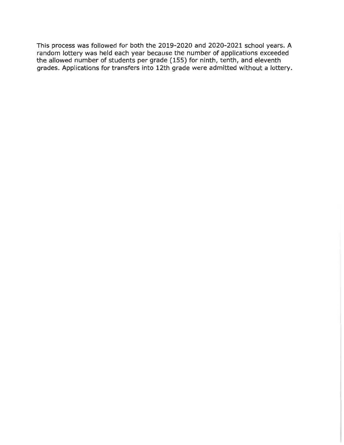This process was followed for both the 2019-2020 and 2020-2021 school years. A random lottery was held each year because the number of applications exceeded the allowed number of students per grade (155) for ninth, tenth, and eleventh grades. Applications for transfers into 12th grade were admitted without a lottery.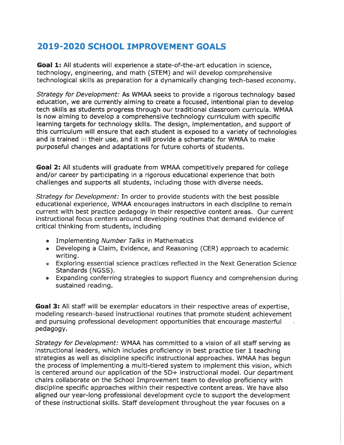# 2019-2020 SCHOOL IMPROVEMENT GOALS

Goal 1: All students will experience a state-of-the-art education in science, technology, engineering, and math (STEM) and will develop comprehensive technological skills as preparation for a dynamically changing tech-based economy.

Strategy for Development: As WMAA seeks to provide a rigorous technology based education, we are currently aiming to create a focused, intentional plan to develop tech skills as students progress through our traditional classroom curricula. WMAA is now aiming to develop a comprehensive technology curriculum with specific learning targets for technology skills. The design, implementation, and support of this curriculum will ensure that each student is exposed to a variety of technologies and is trained in their use, and it will provide a schematic for WMAA to make purposeful changes and adaptations for future cohorts of students.

Goal 2: All students will graduate from WMAA competitively prepared for college and/or career by participating in a rigorous educational experience that both challenges and supports all students, including those with diverse needs.

Strategy for Development: In order to provide students with the best possible educational experience, WMAA encourages instructors in each discipline to remain current with best practice pedagogy in their respective content areas. Our current instructional focus centers around developing routines that demand evidence of critical thinking from students, including

- Implementing Number Talks in Mathematics
- Developing a Claim, Evidence, and Reasoning (CER) approach to academic writing.
- Exploring essential science practices reflected jn the Next Generation Science Standards (NGSS).
- Expanding conferring strategies to support fluency and comprehension during sustained reading.

Goal 3: All staff will be exemplar educators in their respective areas of expertise, modeling research-based instructional routines that promote student achievement and pursuing professional development opportunities that encourage masterful pedagogy.

Strategy for Development: WMAA has committed to a vision of all staff serving as instructional leaders, which includes proficiency in best practice tier 1 teaching strategies as well as discipline specific instructional approaches. WMAA has begun the process of implementing a multi-tiered system to implement this vision, which is centered around our application of the 5D+ instructional model. Our department chairs collaborate on the School Improvement team to develop proficiency with discipline specific approaches within their respective content areas. We have also aligned our year-long professional development cycle to support the development of these instructional skills. Staff development throughout the year focuses on a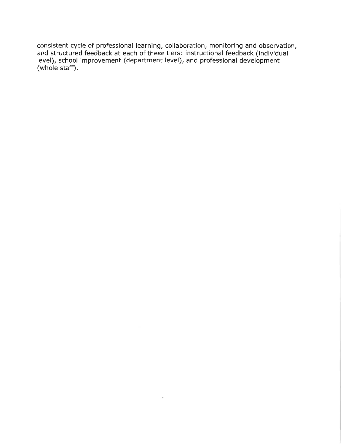consistent cycle of professional learning, collaboration, monitoring and observation, and structured feedback at each of these tiers: instructional feedback (individual level), school improvement (department level), and professional development (whole staff).

 $\sim$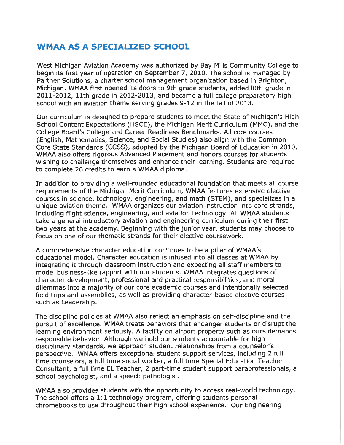#### WMAA AS A SPECIALIZED SCHOOL

West Michigan Aviation Academy was authorized by Bay Mills Community College to begin its first year of operation on September 7, 2010. The school is managed by Partner Solutions, a charter school management organization based in Brighton, Michigan. WMAA first opened its doors to 9th grade students, added 10th grade in 2011-2012, 11th grade in 2012-2013, and became a full college preparatory high school with an aviation theme serving grades 9-12 in the fall of 2013.

Our curriculum is designed to prepare students to meet the State of Michigan's High School Content Expectations (HSCE), the Michigan Merit Curriculum (MMC), and the College Board's College and Career Readiness Benchmarks. All core courses (English, Mathematics, Science, and Social Studies) also align with the Common Core State Standards (CCSS), adopted by the Michigan Board of Education in 2010. WMAA also offers rigorous Advanced Placement and honors courses for students wishing to challenge themselves and enhance their learning. Students are required to complete 26 credits to earn a WMAA diploma.

In addition to providing a well-rounded educational foundation that meets all course requirements of the Michigan Merit Curriculum, WMAA features extensive elective courses in science, technology, engineering, and math (STEM), and specializes in a unique aviation theme. WMAA organizes our aviation instruction into core strands, including flight science, engineering, and aviation technology. All WMAA students take a general introductory aviation and engineering curriculum during their first two years at the academy. Beginning with the junior year, students may choose to focus on one of our thematic strands for their elective coursework.

A comprehensive character education continues to be a pillar of WMAA's educational model. Character education is infused into all classes at WMAA by integrating it through classroom instruction and expecting all staff members to model business-like rapport with our students. WMAA integrates questions of character development, professional and practical responsibilities, and moral dilemmas into a majority of our core academic courses and intentionally selected field trips and assemblies, as well as providing character-based elective courses such as Leadership.

The discipline policies at WMAA also reflect an emphasis on self-discipline and the pursuit of excellence. WMAA treats behaviors that endanger students or disrupt the learning environment seriously. A facility on airport property such as ours demands responsible behavior. Although we hold our students accountable for high disciplinary standards, we approach student relationships from a counselor's perspective. WMAA offers exceptional student support services, including 2 full time counselors, a full time social worker, a full time Special Education Teacher Consultant, a full time EL Teacher, 2 part-time student support paraprofessionals, a school psychologist, and a speech pathologist.

WMAA also provides students with the opportunity to access real-world technology. The school offers a 1:1 technology program, offering students personal chromebooks to use throughout their high school experience. Our Engineering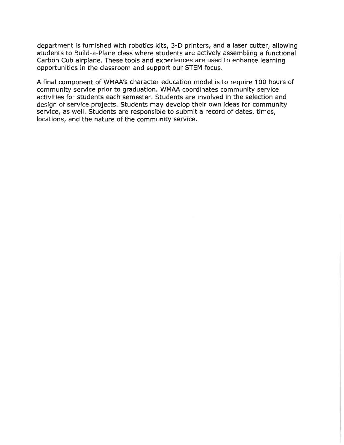department is furnished with robotics kits, 3-D printers, and a laser cutter, allowing students to Build-a-Plane class where students are actively assembling a functional Carbon Cub airplane. These tools and experiences are used to enhance learning opportunities in the classroom and support our STEM focus.

A final component of WMAA's character education model is to require 100 hours of community service prior to graduation. WMAA coordinates community service activities for students each semester. Students are involved in the selection and design of service projects. Students may develop their own ideas for community service, as well. Students are responsible to submit a record of dates, times, locations, and the nature of the community service.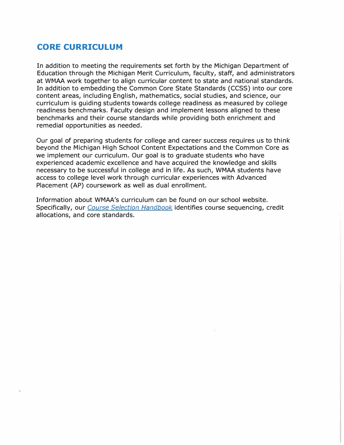#### **CORE CURRICULUM**

In addition to meeting the requirements set forth by the Michigan Department of Education through the Michigan Merit Curriculum, faculty, staff, and administrators at **WMAA** work together to align curricular content to state and national standards. In addition to embedding the Common Core State Standards (CCSS) into our core content areas, including English, mathematics, social studies, and science, our curriculum is guiding students towards college readiness as measured by college readiness benchmarks. Faculty design and implement lessons aligned to these benchmarks and their course standards while providing both enrichment and remedial opportunities as needed.

Our goal of preparing students for college and career success requires us to think beyond the Michigan High School Content Expectations and the Common Core as we implement our curriculum. Our goal is to graduate students who have experienced academic excellence and have acquired the knowledge and skills necessary to be successful in college and in life. As such, WMAA students have access to college level work through curricular experiences with Advanced Placement (AP) coursework as well as dual enrollment.

Information about WMAA's curriculum can be found on our school website. Specifically, our *[Course Selection Handbook](http://wmaa-images.s3.amazonaws.com/assets/311/original/202122_Course_Selection_Handbook.pdf)* identifies course sequencing, credit allocations, and core standards.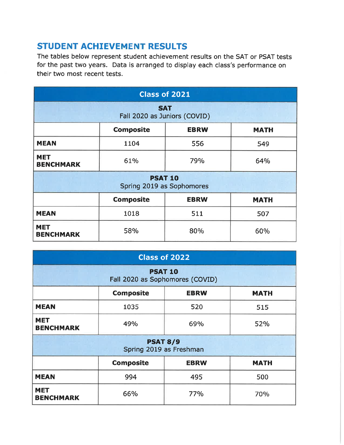# STUDENT ACHIEVEMENT RESULTS

The tables below represent student achievement results on the SAT or PSAT tests for the past two years. Data is arranged to display each class's performance on their two most recent tests.

| <b>Class of 2021</b>                           |                                 |     |             |  |  |
|------------------------------------------------|---------------------------------|-----|-------------|--|--|
| <b>SAT</b><br>Fall 2020 as Juniors (COVID)     |                                 |     |             |  |  |
| <b>Composite</b><br><b>EBRW</b><br><b>MATH</b> |                                 |     |             |  |  |
| <b>MEAN</b>                                    | 1104                            | 556 | 549         |  |  |
| <b>MET</b><br><b>BENCHMARK</b>                 | 61%                             | 79% | 64%         |  |  |
| <b>PSAT 10</b><br>Spring 2019 as Sophomores    |                                 |     |             |  |  |
|                                                | <b>Composite</b><br><b>EBRW</b> |     | <b>MATH</b> |  |  |
| <b>MEAN</b>                                    | 1018                            | 511 | 507         |  |  |
| <b>MET</b><br><b>BENCHMARK</b>                 | 58%                             |     | 60%         |  |  |

| Class of 2022                                     |                  |             |             |  |  |
|---------------------------------------------------|------------------|-------------|-------------|--|--|
| <b>PSAT 10</b><br>Fall 2020 as Sophomores (COVID) |                  |             |             |  |  |
| <b>Composite</b><br><b>EBRW</b><br><b>MATH</b>    |                  |             |             |  |  |
| <b>MEAN</b>                                       | 1035             | 520         | 515         |  |  |
| <b>MET</b><br><b>BENCHMARK</b>                    | 49%              |             | 52%         |  |  |
| <b>PSAT 8/9</b><br>Spring 2019 as Freshman        |                  |             |             |  |  |
|                                                   | <b>Composite</b> | <b>EBRW</b> | <b>MATH</b> |  |  |
| <b>MEAN</b>                                       | 994              | 495         | 500         |  |  |
| <b>MET</b><br><b>BENCHMARK</b>                    | 66%              | 77%         | 70%         |  |  |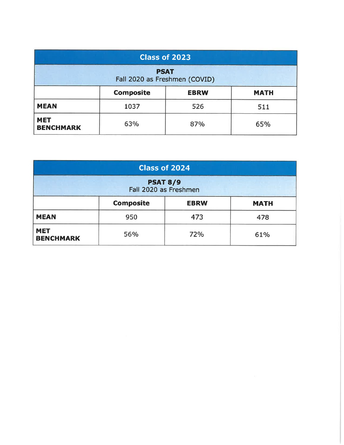| Class of 2023<br><b>PSAT</b><br>Fall 2020 as Freshmen (COVID) |      |     |     |
|---------------------------------------------------------------|------|-----|-----|
|                                                               |      |     |     |
| <b>MEAN</b>                                                   | 1037 | 526 | 511 |
| <b>MET</b><br><b>BENCHMARK</b>                                | 63%  | 87% | 65% |

| Class of 2024                            |                  |             |             |  |
|------------------------------------------|------------------|-------------|-------------|--|
| <b>PSAT 8/9</b><br>Fall 2020 as Freshmen |                  |             |             |  |
|                                          | <b>Composite</b> | <b>EBRW</b> | <b>MATH</b> |  |
| <b>MEAN</b>                              | 950              | 473         | 478         |  |
| <b>MET</b><br><b>BENCHMARK</b>           | 56%              | 72%         | 61%         |  |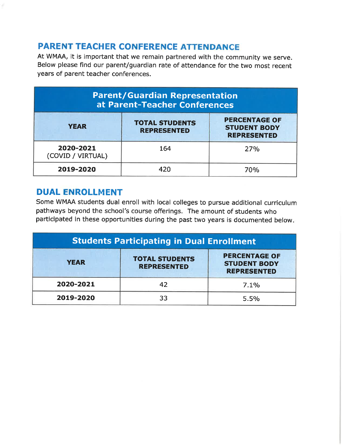# PARENT TEACHER CONFERENCE ATTENDANCE

At WMAA, it is important that we remain partnered with the community we serve. Below please find our parent/guardian rate of attendance for the two most recent years of parent teacher conferences.

| <b>Parent/Guardian Representation</b><br>at Parent-Teacher Conferences |                                             |                                                                   |  |
|------------------------------------------------------------------------|---------------------------------------------|-------------------------------------------------------------------|--|
| <b>YEAR</b>                                                            | <b>TOTAL STUDENTS</b><br><b>REPRESENTED</b> | <b>PERCENTAGE OF</b><br><b>STUDENT BODY</b><br><b>REPRESENTED</b> |  |
| 2020-2021<br>(COVID / VIRTUAL)                                         | 164                                         | 27%                                                               |  |
| 2019-2020                                                              | 420                                         | 70%                                                               |  |

## DUAL ENROLLMENT

Some WMAA students dual enroll with local colleges to pursue additional curriculum pathways beyond the school's course offerings. The amount of students who participated in these opportunities during the past two years is documented below.

| <b>Students Participating in Dual Enrollment</b> |                                             |                                                                   |  |
|--------------------------------------------------|---------------------------------------------|-------------------------------------------------------------------|--|
| <b>YEAR</b>                                      | <b>TOTAL STUDENTS</b><br><b>REPRESENTED</b> | <b>PERCENTAGE OF</b><br><b>STUDENT BODY</b><br><b>REPRESENTED</b> |  |
| 2020-2021                                        | 42                                          | 7.1%                                                              |  |
| 2019-2020                                        | 33                                          | 5.5%                                                              |  |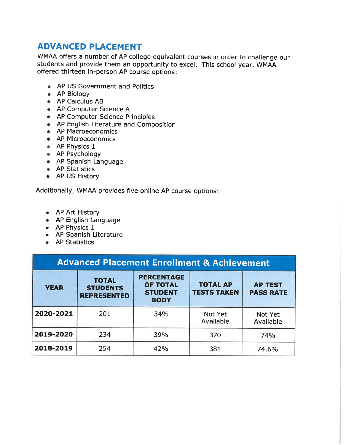## ADVANCED PLACEMENT

WMAA offers a number of AP college equivalent courses in order to challenge our students and provide them an opportunity to excel. This school year, WMAA offered thirteen in-person AP course options:

- AP US Government and Politics
- AP Biology
- AP Calculus AB
- AP Computer Science A
- AP Computer Science Principles
- AP English Literature and Composition
- AP Macroeconomics
- AP Microeconomics
- AP Physics 1
- AP Psychology
- AP Spanish Language
- AP Statistics
- AP US History

Additionally, WMAA provides five online AP course options:

- AP Art History
- AP English Language
- AP Physics 1
- AP Spanish Literature
- AP Statistics

| <b>Advanced Placement Enrollment &amp; Achievement</b> |                                                       |                                                                       |                                       |                                    |  |
|--------------------------------------------------------|-------------------------------------------------------|-----------------------------------------------------------------------|---------------------------------------|------------------------------------|--|
| <b>YEAR</b>                                            | <b>TOTAL</b><br><b>STUDENTS</b><br><b>REPRESENTED</b> | <b>PERCENTAGE</b><br><b>OF TOTAL</b><br><b>STUDENT</b><br><b>BODY</b> | <b>TOTAL AP</b><br><b>TESTS TAKEN</b> | <b>AP TEST</b><br><b>PASS RATE</b> |  |
| 2020-2021                                              | 201                                                   | 34%                                                                   | Not Yet<br>Available                  | Not Yet<br>Available               |  |
| 2019-2020                                              | 234                                                   | 39%                                                                   | 370                                   | 74%                                |  |
| 2018-2019                                              | 254                                                   | 42%                                                                   | 381                                   | 74.6%                              |  |